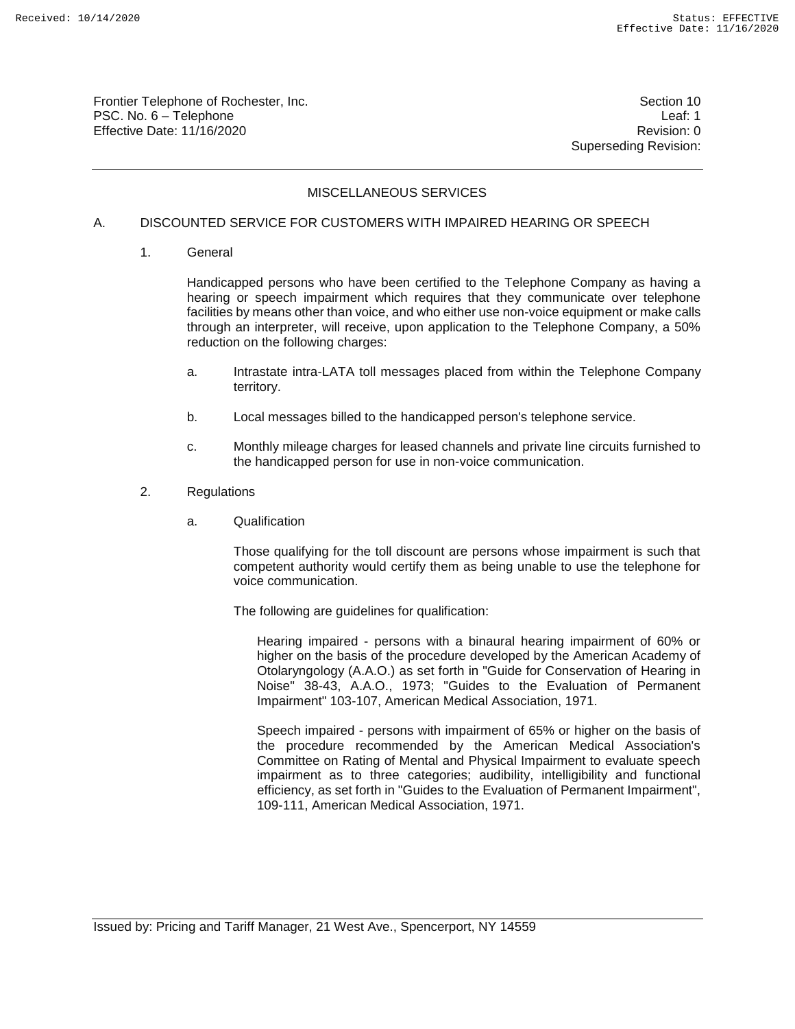Frontier Telephone of Rochester, Inc. Section 10 PSC. No. 6 – Telephone Leaf: 1 Effective Date: 11/16/2020 **Review Accounts** Effective Date: 0

Superseding Revision:

# MISCELLANEOUS SERVICES

#### A. DISCOUNTED SERVICE FOR CUSTOMERS WITH IMPAIRED HEARING OR SPEECH

1. General

Handicapped persons who have been certified to the Telephone Company as having a hearing or speech impairment which requires that they communicate over telephone facilities by means other than voice, and who either use non-voice equipment or make calls through an interpreter, will receive, upon application to the Telephone Company, a 50% reduction on the following charges:

- a. Intrastate intra-LATA toll messages placed from within the Telephone Company territory.
- b. Local messages billed to the handicapped person's telephone service.
- c. Monthly mileage charges for leased channels and private line circuits furnished to the handicapped person for use in non-voice communication.
- 2. Regulations
	- a. Qualification

Those qualifying for the toll discount are persons whose impairment is such that competent authority would certify them as being unable to use the telephone for voice communication.

The following are guidelines for qualification:

Hearing impaired - persons with a binaural hearing impairment of 60% or higher on the basis of the procedure developed by the American Academy of Otolaryngology (A.A.O.) as set forth in "Guide for Conservation of Hearing in Noise" 38-43, A.A.O., 1973; "Guides to the Evaluation of Permanent Impairment" 103-107, American Medical Association, 1971.

Speech impaired - persons with impairment of 65% or higher on the basis of the procedure recommended by the American Medical Association's Committee on Rating of Mental and Physical Impairment to evaluate speech impairment as to three categories; audibility, intelligibility and functional efficiency, as set forth in "Guides to the Evaluation of Permanent Impairment", 109-111, American Medical Association, 1971.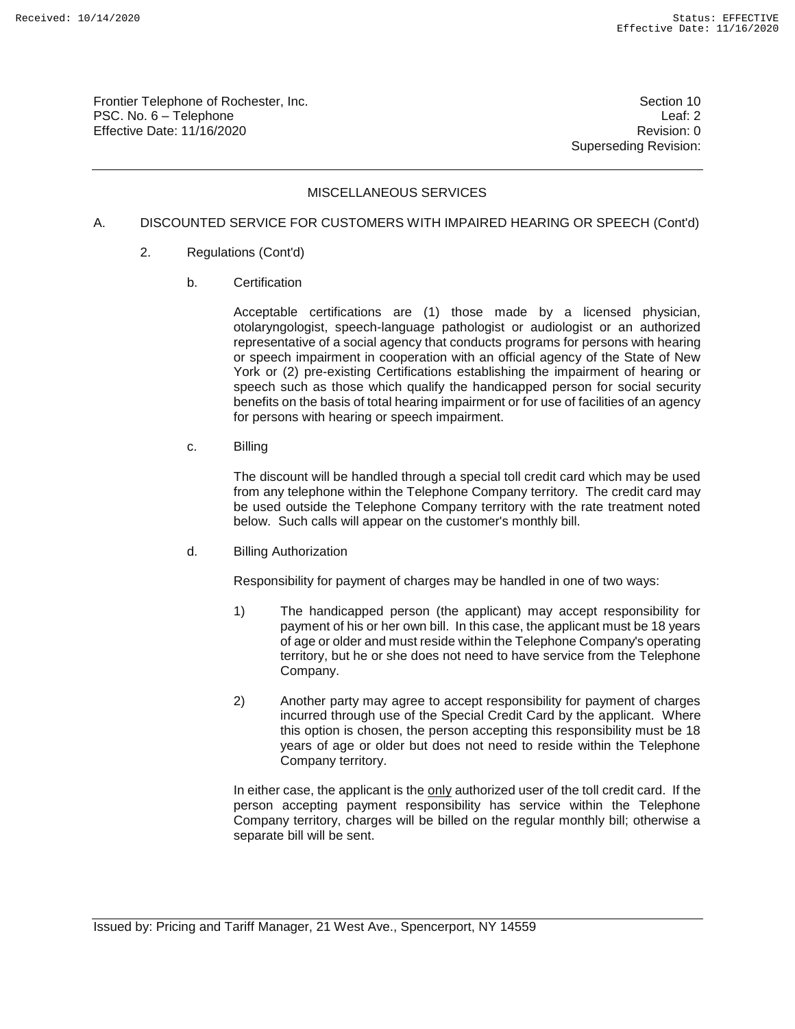Frontier Telephone of Rochester, Inc. Section 10 PSC. No. 6 – Telephone Leaf: 2 Effective Date: 11/16/2020 **Review Account 2018** Revision: 0

Superseding Revision:

# MISCELLANEOUS SERVICES

#### A. DISCOUNTED SERVICE FOR CUSTOMERS WITH IMPAIRED HEARING OR SPEECH (Cont'd)

- 2. Regulations (Cont'd)
	- b. Certification

Acceptable certifications are (1) those made by a licensed physician, otolaryngologist, speech-language pathologist or audiologist or an authorized representative of a social agency that conducts programs for persons with hearing or speech impairment in cooperation with an official agency of the State of New York or (2) pre-existing Certifications establishing the impairment of hearing or speech such as those which qualify the handicapped person for social security benefits on the basis of total hearing impairment or for use of facilities of an agency for persons with hearing or speech impairment.

c. Billing

The discount will be handled through a special toll credit card which may be used from any telephone within the Telephone Company territory. The credit card may be used outside the Telephone Company territory with the rate treatment noted below. Such calls will appear on the customer's monthly bill.

d. Billing Authorization

Responsibility for payment of charges may be handled in one of two ways:

- 1) The handicapped person (the applicant) may accept responsibility for payment of his or her own bill. In this case, the applicant must be 18 years of age or older and must reside within the Telephone Company's operating territory, but he or she does not need to have service from the Telephone Company.
- 2) Another party may agree to accept responsibility for payment of charges incurred through use of the Special Credit Card by the applicant. Where this option is chosen, the person accepting this responsibility must be 18 years of age or older but does not need to reside within the Telephone Company territory.

In either case, the applicant is the only authorized user of the toll credit card. If the person accepting payment responsibility has service within the Telephone Company territory, charges will be billed on the regular monthly bill; otherwise a separate bill will be sent.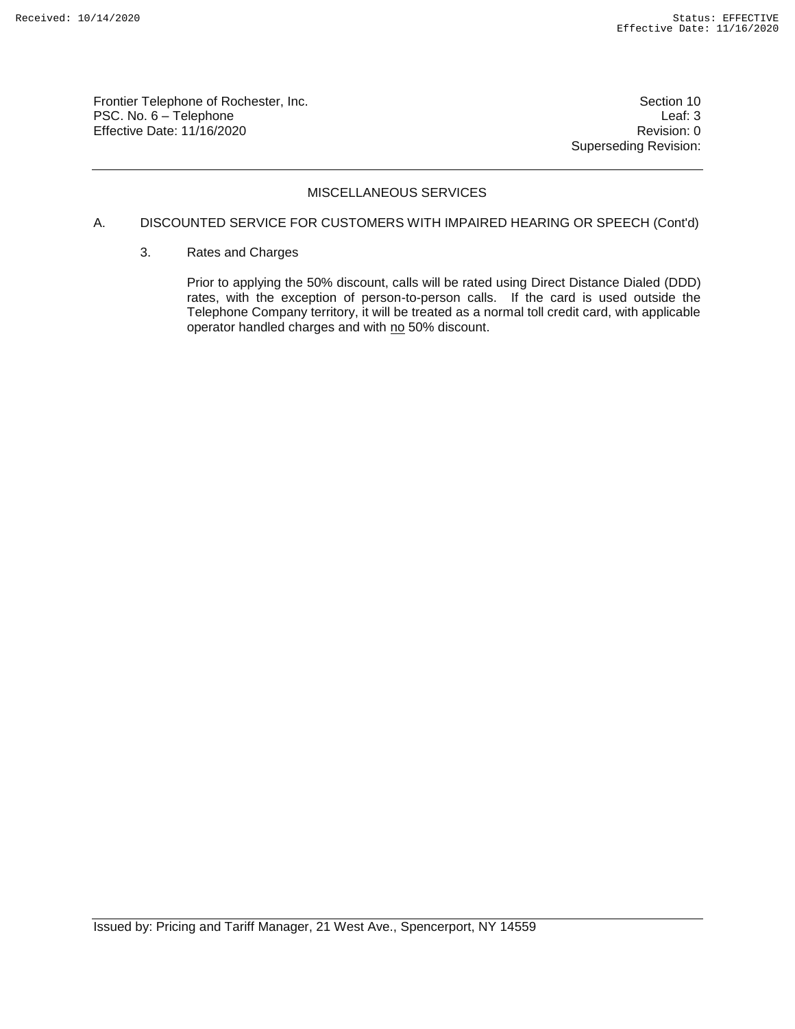Frontier Telephone of Rochester, Inc. Section 10 PSC. No. 6 – Telephone Leaf: 3 Effective Date: 11/16/2020 **Review Account 2018** Revision: 0

Superseding Revision:

# MISCELLANEOUS SERVICES

# A. DISCOUNTED SERVICE FOR CUSTOMERS WITH IMPAIRED HEARING OR SPEECH (Cont'd)

3. Rates and Charges

Prior to applying the 50% discount, calls will be rated using Direct Distance Dialed (DDD) rates, with the exception of person-to-person calls. If the card is used outside the Telephone Company territory, it will be treated as a normal toll credit card, with applicable operator handled charges and with no 50% discount.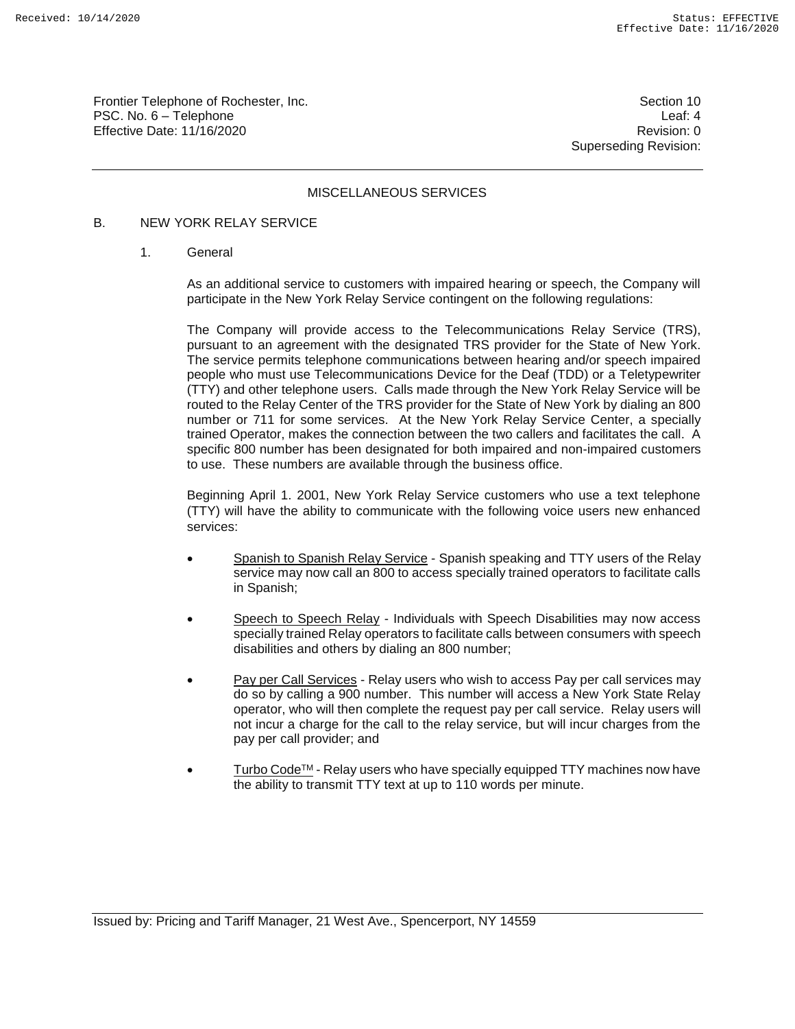Frontier Telephone of Rochester, Inc. Section 10 PSC. No. 6 – Telephone Leaf: 4 Effective Date: 11/16/2020 **Review Accounts** Effective Date: 0

Superseding Revision:

#### MISCELLANEOUS SERVICES

#### B. NEW YORK RELAY SERVICE

1. General

As an additional service to customers with impaired hearing or speech, the Company will participate in the New York Relay Service contingent on the following regulations:

The Company will provide access to the Telecommunications Relay Service (TRS), pursuant to an agreement with the designated TRS provider for the State of New York. The service permits telephone communications between hearing and/or speech impaired people who must use Telecommunications Device for the Deaf (TDD) or a Teletypewriter (TTY) and other telephone users. Calls made through the New York Relay Service will be routed to the Relay Center of the TRS provider for the State of New York by dialing an 800 number or 711 for some services. At the New York Relay Service Center, a specially trained Operator, makes the connection between the two callers and facilitates the call. A specific 800 number has been designated for both impaired and non-impaired customers to use. These numbers are available through the business office.

Beginning April 1. 2001, New York Relay Service customers who use a text telephone (TTY) will have the ability to communicate with the following voice users new enhanced services:

- Spanish to Spanish Relay Service Spanish speaking and TTY users of the Relay service may now call an 800 to access specially trained operators to facilitate calls in Spanish;
- Speech to Speech Relay Individuals with Speech Disabilities may now access specially trained Relay operators to facilitate calls between consumers with speech disabilities and others by dialing an 800 number;
- Pay per Call Services Relay users who wish to access Pay per call services may do so by calling a 900 number. This number will access a New York State Relay operator, who will then complete the request pay per call service. Relay users will not incur a charge for the call to the relay service, but will incur charges from the pay per call provider; and
- Turbo Code<sup>™</sup> Relay users who have specially equipped TTY machines now have the ability to transmit TTY text at up to 110 words per minute.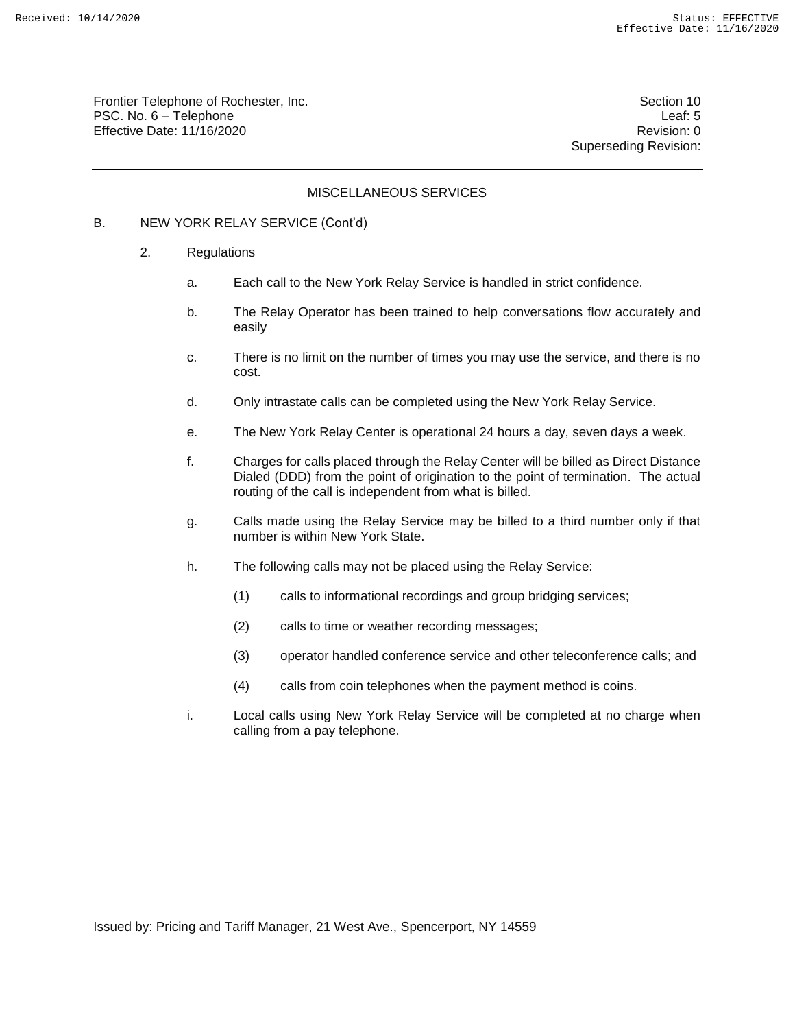Frontier Telephone of Rochester, Inc. Section 10 PSC. No. 6 – Telephone Leaf: 5 Effective Date: 11/16/2020 **Review Account 2018** Revision: 0

Superseding Revision:

#### MISCELLANEOUS SERVICES

## B. NEW YORK RELAY SERVICE (Cont'd)

- 2. Regulations
	- a. Each call to the New York Relay Service is handled in strict confidence.
	- b. The Relay Operator has been trained to help conversations flow accurately and easily
	- c. There is no limit on the number of times you may use the service, and there is no cost.
	- d. Only intrastate calls can be completed using the New York Relay Service.
	- e. The New York Relay Center is operational 24 hours a day, seven days a week.
	- f. Charges for calls placed through the Relay Center will be billed as Direct Distance Dialed (DDD) from the point of origination to the point of termination. The actual routing of the call is independent from what is billed.
	- g. Calls made using the Relay Service may be billed to a third number only if that number is within New York State.
	- h. The following calls may not be placed using the Relay Service:
		- (1) calls to informational recordings and group bridging services;
		- (2) calls to time or weather recording messages;
		- (3) operator handled conference service and other teleconference calls; and
		- (4) calls from coin telephones when the payment method is coins.
	- i. Local calls using New York Relay Service will be completed at no charge when calling from a pay telephone.